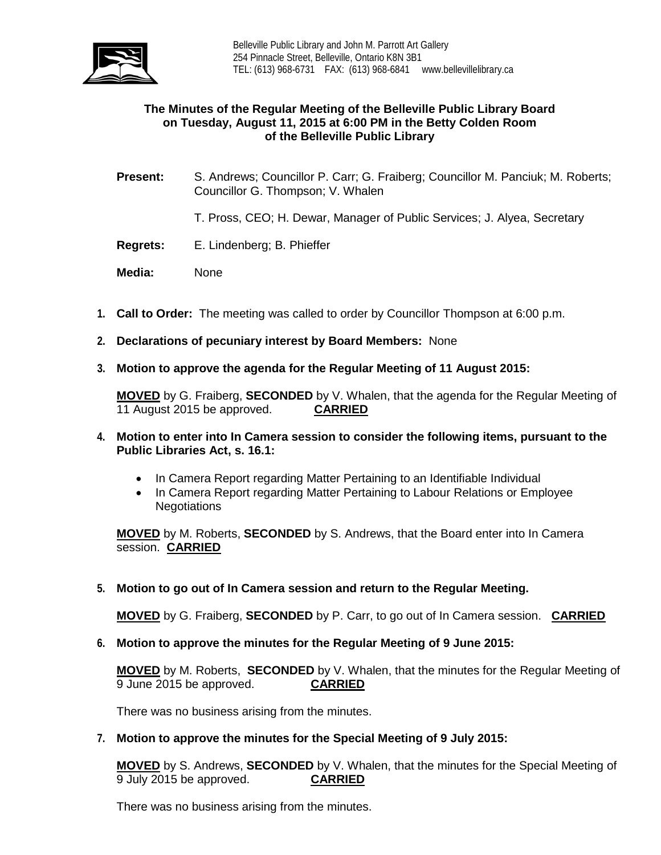

# **The Minutes of the Regular Meeting of the Belleville Public Library Board on Tuesday, August 11, 2015 at 6:00 PM in the Betty Colden Room of the Belleville Public Library**

- **Present:** S. Andrews; Councillor P. Carr; G. Fraiberg; Councillor M. Panciuk; M. Roberts; Councillor G. Thompson; V. Whalen
	- T. Pross, CEO; H. Dewar, Manager of Public Services; J. Alyea, Secretary
- **Regrets:** E. Lindenberg; B. Phieffer

**Media:** None

- **1. Call to Order:** The meeting was called to order by Councillor Thompson at 6:00 p.m.
- **2. Declarations of pecuniary interest by Board Members:** None
- **3. Motion to approve the agenda for the Regular Meeting of 11 August 2015:**

**MOVED** by G. Fraiberg, **SECONDED** by V. Whalen, that the agenda for the Regular Meeting of 11 August 2015 be approved. **CARRIED**

- **4. Motion to enter into In Camera session to consider the following items, pursuant to the Public Libraries Act, s. 16.1:** 
	- In Camera Report regarding Matter Pertaining to an Identifiable Individual
	- In Camera Report regarding Matter Pertaining to Labour Relations or Employee **Negotiations**

**MOVED** by M. Roberts, **SECONDED** by S. Andrews, that the Board enter into In Camera session. **CARRIED**

**5. Motion to go out of In Camera session and return to the Regular Meeting.** 

**MOVED** by G. Fraiberg, **SECONDED** by P. Carr, to go out of In Camera session. **CARRIED**

**6. Motion to approve the minutes for the Regular Meeting of 9 June 2015:**

**MOVED** by M. Roberts, **SECONDED** by V. Whalen, that the minutes for the Regular Meeting of 9 June 2015 be approved. **CARRIED**

There was no business arising from the minutes.

**7. Motion to approve the minutes for the Special Meeting of 9 July 2015:**

**MOVED** by S. Andrews, **SECONDED** by V. Whalen, that the minutes for the Special Meeting of 9 July 2015 be approved. 9 July 2015 be approved.

There was no business arising from the minutes.